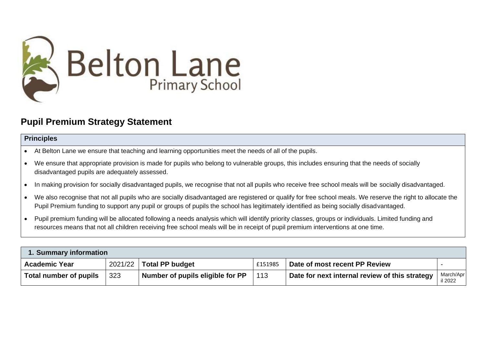

## **Pupil Premium Strategy Statement**

## **Principles**

- At Belton Lane we ensure that teaching and learning opportunities meet the needs of all of the pupils.
- We ensure that appropriate provision is made for pupils who belong to vulnerable groups, this includes ensuring that the needs of socially disadvantaged pupils are adequately assessed.
- In making provision for socially disadvantaged pupils, we recognise that not all pupils who receive free school meals will be socially disadvantaged.
- We also recognise that not all pupils who are socially disadvantaged are registered or qualify for free school meals. We reserve the right to allocate the Pupil Premium funding to support any pupil or groups of pupils the school has legitimately identified as being socially disadvantaged.
- Pupil premium funding will be allocated following a needs analysis which will identify priority classes, groups or individuals. Limited funding and resources means that not all children receiving free school meals will be in receipt of pupil premium interventions at one time.

| 1. Summary information |         |                                  |         |                                                |                      |  |  |
|------------------------|---------|----------------------------------|---------|------------------------------------------------|----------------------|--|--|
| <b>Academic Year</b>   | 2021/22 | <b>Total PP budget</b>           | £151985 | Date of most recent PP Review                  |                      |  |  |
| Total number of pupils | 323     | Number of pupils eligible for PP | 113     | Date for next internal review of this strategy | March/Apr<br>il 2022 |  |  |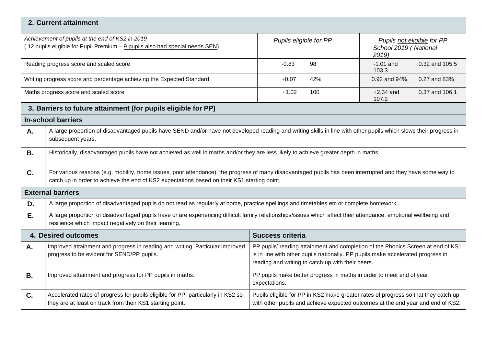|           | 2. Current attainment                                                                                                                                                                                                                                      |                                                                                                                                                                                                                          |                                        |  |  |  |
|-----------|------------------------------------------------------------------------------------------------------------------------------------------------------------------------------------------------------------------------------------------------------------|--------------------------------------------------------------------------------------------------------------------------------------------------------------------------------------------------------------------------|----------------------------------------|--|--|--|
|           | Achievement of pupils at the end of KS2 in 2019<br>(12 pupils eligible for Pupil Premium - 9 pupils also had special needs SEN)                                                                                                                            | Pupils eligible for PP<br>Pupils not eligible for PP<br>School 2019 (National<br>2019)                                                                                                                                   |                                        |  |  |  |
|           | Reading progress score and scaled score                                                                                                                                                                                                                    | 98<br>$-0.83$                                                                                                                                                                                                            | 0.32 and 105.5<br>$-1.01$ and<br>103.3 |  |  |  |
|           | Writing progress score and percentage achieving the Expected Standard                                                                                                                                                                                      | 42%<br>$+0.07$                                                                                                                                                                                                           | 0.92 and 94%<br>0.27 and 83%           |  |  |  |
|           | Maths progress score and scaled score                                                                                                                                                                                                                      | $+1.02$<br>100                                                                                                                                                                                                           | $+2.34$ and<br>0.37 and 106.1<br>107.2 |  |  |  |
|           | 3. Barriers to future attainment (for pupils eligible for PP)                                                                                                                                                                                              |                                                                                                                                                                                                                          |                                        |  |  |  |
|           | <b>In-school barriers</b>                                                                                                                                                                                                                                  |                                                                                                                                                                                                                          |                                        |  |  |  |
| Α.        | A large proportion of disadvantaged pupils have SEND and/or have not developed reading and writing skills in line with other pupils which slows their progress in<br>subsequent years.                                                                     |                                                                                                                                                                                                                          |                                        |  |  |  |
| <b>B.</b> | Historically, disadvantaged pupils have not achieved as well in maths and/or they are less likely to achieve greater depth in maths.                                                                                                                       |                                                                                                                                                                                                                          |                                        |  |  |  |
| C.        | For various reasons (e.g. mobility, home issues, poor attendance), the progress of many disadvantaged pupils has been interrupted and they have some way to<br>catch up in order to achieve the end of KS2 expectations based on their KS1 starting point. |                                                                                                                                                                                                                          |                                        |  |  |  |
|           | <b>External barriers</b>                                                                                                                                                                                                                                   |                                                                                                                                                                                                                          |                                        |  |  |  |
| D.        | A large proportion of disadvantaged pupils do not read as regularly at home, practice spellings and timetables etc or complete homework.                                                                                                                   |                                                                                                                                                                                                                          |                                        |  |  |  |
| Ε.        | A large proportion of disadvantaged pupils have or are experiencing difficult family relationships/issues which affect their attendance, emotional wellbeing and<br>resilience which impact negatively on their learning.                                  |                                                                                                                                                                                                                          |                                        |  |  |  |
|           | 4. Desired outcomes                                                                                                                                                                                                                                        | <b>Success criteria</b>                                                                                                                                                                                                  |                                        |  |  |  |
| A.        | Improved attainment and progress in reading and writing. Particular improved<br>progress to be evident for SEND/PP pupils.                                                                                                                                 | PP pupils' reading attainment and completion of the Phonics Screen at end of KS1<br>is in line with other pupils nationally. PP pupils make accelerated progress in<br>reading and writing to catch up with their peers. |                                        |  |  |  |
| <b>B.</b> | Improved attainment and progress for PP pupils in maths.                                                                                                                                                                                                   | PP pupils make better progress in maths in order to meet end of year<br>expectations.                                                                                                                                    |                                        |  |  |  |
| C.        | Accelerated rates of progress for pupils eligible for PP, particularly in KS2 so<br>they are at least on track from their KS1 starting point.                                                                                                              | Pupils eligible for PP in KS2 make greater rates of progress so that they catch up<br>with other pupils and achieve expected outcomes at the end year and end of KS2.                                                    |                                        |  |  |  |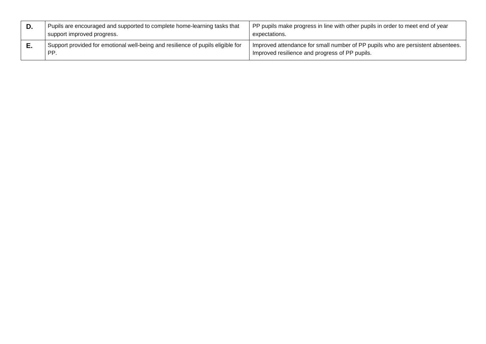| D. | Pupils are encouraged and supported to complete home-learning tasks that<br>support improved progress. | PP pupils make progress in line with other pupils in order to meet end of year<br>expectations.                                   |
|----|--------------------------------------------------------------------------------------------------------|-----------------------------------------------------------------------------------------------------------------------------------|
| с. | Support provided for emotional well-being and resilience of pupils eligible for<br>PP.                 | Improved attendance for small number of PP pupils who are persistent absentees.<br>Improved resilience and progress of PP pupils. |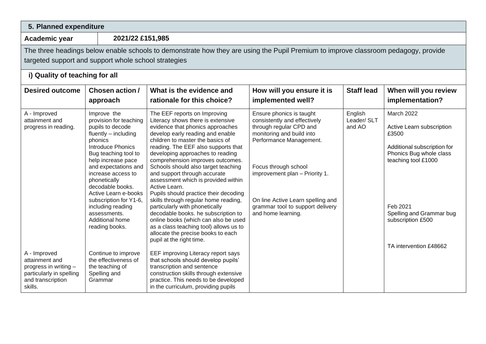| 5. Planned expenditure                                                                                              |                                                                                                                                                                                                                                                                                                                                                                                      |                                                                                                                                                                                                                                                                                                                                                                                                                                                                                                                                                                                                                                                                                                                                           |                                                                                                                                                                                                                                                                                                      |                                  |                                                                                                                                                                                                                                 |  |  |
|---------------------------------------------------------------------------------------------------------------------|--------------------------------------------------------------------------------------------------------------------------------------------------------------------------------------------------------------------------------------------------------------------------------------------------------------------------------------------------------------------------------------|-------------------------------------------------------------------------------------------------------------------------------------------------------------------------------------------------------------------------------------------------------------------------------------------------------------------------------------------------------------------------------------------------------------------------------------------------------------------------------------------------------------------------------------------------------------------------------------------------------------------------------------------------------------------------------------------------------------------------------------------|------------------------------------------------------------------------------------------------------------------------------------------------------------------------------------------------------------------------------------------------------------------------------------------------------|----------------------------------|---------------------------------------------------------------------------------------------------------------------------------------------------------------------------------------------------------------------------------|--|--|
| Academic year                                                                                                       | 2021/22 £151,985                                                                                                                                                                                                                                                                                                                                                                     |                                                                                                                                                                                                                                                                                                                                                                                                                                                                                                                                                                                                                                                                                                                                           |                                                                                                                                                                                                                                                                                                      |                                  |                                                                                                                                                                                                                                 |  |  |
|                                                                                                                     | The three headings below enable schools to demonstrate how they are using the Pupil Premium to improve classroom pedagogy, provide<br>targeted support and support whole school strategies<br>i) Quality of teaching for all                                                                                                                                                         |                                                                                                                                                                                                                                                                                                                                                                                                                                                                                                                                                                                                                                                                                                                                           |                                                                                                                                                                                                                                                                                                      |                                  |                                                                                                                                                                                                                                 |  |  |
| <b>Desired outcome</b>                                                                                              | Chosen action /<br>approach                                                                                                                                                                                                                                                                                                                                                          | What is the evidence and<br>rationale for this choice?                                                                                                                                                                                                                                                                                                                                                                                                                                                                                                                                                                                                                                                                                    | How will you ensure it is<br>implemented well?                                                                                                                                                                                                                                                       | <b>Staff lead</b>                | When will you review<br>implementation?                                                                                                                                                                                         |  |  |
| A - Improved<br>attainment and<br>progress in reading.                                                              | Improve the<br>provision for teaching<br>pupils to decode<br>fluently - including<br>phonics<br><b>Introduce Phonics</b><br>Bug teaching tool to<br>help increase pace<br>and expectations and<br>increase access to<br>phonetically<br>decodable books.<br>Active Learn e-books<br>subscription for Y1-6,<br>including reading<br>assessments.<br>Additional home<br>reading books. | The EEF reports on Improving<br>Literacy shows there is extensive<br>evidence that phonics approaches<br>develop early reading and enable<br>children to master the basics of<br>reading. The EEF also supports that<br>developing approaches to reading<br>comprehension improves outcomes.<br>Schools should also target teaching<br>and support through accurate<br>assessment which is provided within<br>Active Learn.<br>Pupils should practice their decoding<br>skills through regular home reading,<br>particularly with phonetically<br>decodable books. he subscription to<br>online books (which can also be used<br>as a class teaching tool) allows us to<br>allocate the precise books to each<br>pupil at the right time. | Ensure phonics is taught<br>consistently and effectively<br>through regular CPD and<br>monitoring and build into<br>Performance Management.<br>Focus through school<br>improvement plan - Priority 1.<br>On line Active Learn spelling and<br>grammar tool to support delivery<br>and home learning. | English<br>Leader/ SLT<br>and AO | <b>March 2022</b><br>Active Learn subscription<br>£3500<br>Additional subscription for<br>Phonics Bug whole class<br>teaching tool £1000<br>Feb 2021<br>Spelling and Grammar bug<br>subscription £500<br>TA intervention £48662 |  |  |
| A - Improved<br>attainment and<br>progress in writing -<br>particularly in spelling<br>and transcription<br>skills. | Continue to improve<br>the effectiveness of<br>the teaching of<br>Spelling and<br>Grammar                                                                                                                                                                                                                                                                                            | EEF improving Literacy report says<br>that schools should develop pupils'<br>transcription and sentence<br>construction skills through extensive<br>practice. This needs to be developed<br>in the curriculum, providing pupils                                                                                                                                                                                                                                                                                                                                                                                                                                                                                                           |                                                                                                                                                                                                                                                                                                      |                                  |                                                                                                                                                                                                                                 |  |  |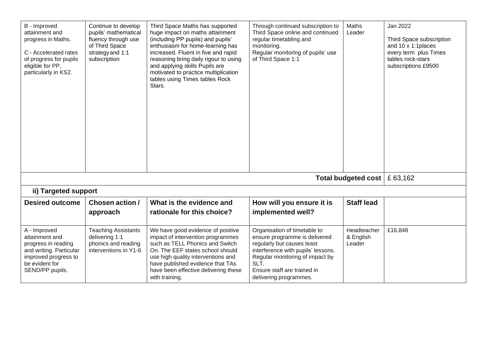| B - Improved<br>attainment and<br>progress in Maths.<br>C - Accelerated rates<br>of progress for pupils<br>eligible for PP,<br>particularly in KS2. | Continue to develop<br>pupils' mathematical<br>fluency through use<br>of Third Space<br>strategy and 1:1<br>subscription | Third Space Maths has supported<br>huge impact on maths attainment<br>(including PP pupils) and pupils'<br>enthusiasm for home-learning has<br>increased. Fluent in five and rapid<br>reasoning bring daily rigour to using<br>and applying skills Pupils are<br>motivated to practice multiplication<br>tables using Times tables Rock<br>Stars. | Through continued subscription to<br>Third Space online and continued<br>regular timetabling and<br>monitoring.<br>Regular monitoring of pupils' use<br>of Third Space 1:1                                                            | Maths<br>Leader                     | Jan 2022<br>Third Space subscription<br>and 10 x 1:1 places<br>every term plus Times<br>tables rock-stars<br>subscriptions £9500 |
|-----------------------------------------------------------------------------------------------------------------------------------------------------|--------------------------------------------------------------------------------------------------------------------------|---------------------------------------------------------------------------------------------------------------------------------------------------------------------------------------------------------------------------------------------------------------------------------------------------------------------------------------------------|---------------------------------------------------------------------------------------------------------------------------------------------------------------------------------------------------------------------------------------|-------------------------------------|----------------------------------------------------------------------------------------------------------------------------------|
|                                                                                                                                                     |                                                                                                                          |                                                                                                                                                                                                                                                                                                                                                   |                                                                                                                                                                                                                                       | Total budgeted cost $\mid$ £ 63,162 |                                                                                                                                  |
| ii) Targeted support                                                                                                                                |                                                                                                                          |                                                                                                                                                                                                                                                                                                                                                   |                                                                                                                                                                                                                                       |                                     |                                                                                                                                  |
| <b>Desired outcome</b>                                                                                                                              | Chosen action /<br>approach                                                                                              | What is the evidence and<br>rationale for this choice?                                                                                                                                                                                                                                                                                            | How will you ensure it is<br>implemented well?                                                                                                                                                                                        | <b>Staff lead</b>                   |                                                                                                                                  |
| A - Improved<br>attainment and<br>progress in reading<br>and writing. Particular<br>improved progress to<br>be evident for<br>SEND/PP pupils.       | <b>Teaching Assistants</b><br>delivering 1:1<br>phonics and reading<br>interventions in Y1-6                             | We have good evidence of positive<br>impact of intervention programmes<br>such as TELL Phonics and Switch<br>On. The EEF states school should<br>use high quality interventions and<br>have published evidence that TAs<br>have been effective delivering these<br>with training.                                                                 | Organisation of timetable to<br>ensure programme is delivered<br>regularly but causes least<br>interference with pupils' lessons.<br>Regular monitoring of impact by<br>SLT.<br>Ensure staff are trained in<br>delivering programmes. | Headteacher<br>& English<br>Leader  | £16,848                                                                                                                          |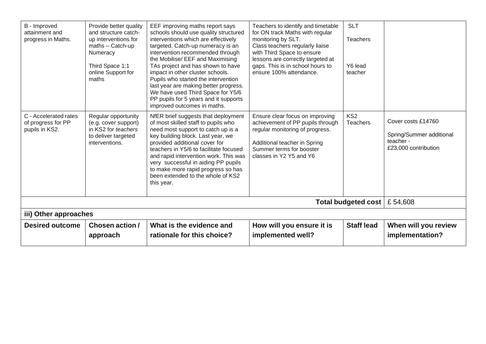| B - Improved<br>attainment and<br>progress in Maths.          | Provide better quality<br>and structure catch-<br>up interventions for<br>maths - Catch-up<br>Numeracy<br>Third Space 1:1<br>online Support for<br>maths | EEF improving maths report says<br>schools should use quality structured<br>interventions which are effectively<br>targeted. Catch-up numeracy is an<br>intervention recommended through<br>the Mobilise/ EEF and Maximising<br>TAs project and has shown to have<br>impact in other cluster schools.<br>Pupils who started the intervention<br>last year are making better progress.<br>We have used Third Space for Y5/6<br>PP pupils for 5 years and it supports<br>improved outcomes in maths. | Teachers to identify and timetable<br>for ON track Maths with regular<br>monitoring by SLT.<br>Class teachers regularly liaise<br>with Third Space to ensure<br>lessons are correctly targeted at<br>gaps. This is in school hours to<br>ensure 100% attendance. | <b>SLT</b><br><b>Teachers</b><br>Y6 lead<br>teacher |                                                                                     |
|---------------------------------------------------------------|----------------------------------------------------------------------------------------------------------------------------------------------------------|----------------------------------------------------------------------------------------------------------------------------------------------------------------------------------------------------------------------------------------------------------------------------------------------------------------------------------------------------------------------------------------------------------------------------------------------------------------------------------------------------|------------------------------------------------------------------------------------------------------------------------------------------------------------------------------------------------------------------------------------------------------------------|-----------------------------------------------------|-------------------------------------------------------------------------------------|
| C - Accelerated rates<br>of progress for PP<br>pupils in KS2. | Regular opportunity<br>(e.g. cover support)<br>in KS2 for teachers<br>to deliver targeted<br>interventions.                                              | NfER brief suggests that deployment<br>of most skilled staff to pupils who<br>need most support to catch up is a<br>key building block. Last year, we<br>provided additional cover for<br>teachers in Y5/6 to facilitate focused<br>and rapid intervention work. This was<br>very successful in aiding PP pupils<br>to make more rapid progress so has<br>been extended to the whole of KS2<br>this year.                                                                                          | Ensure clear focus on improving<br>achievement of PP pupils through<br>regular monitoring of progress.<br>Additional teacher in Spring<br>Summer terms for booster<br>classes in Y2 Y5 and Y6                                                                    | KS <sub>2</sub><br><b>Teachers</b>                  | Cover costs £14760<br>Spring/Summer additional<br>teacher -<br>£23,000 contribution |
|                                                               |                                                                                                                                                          |                                                                                                                                                                                                                                                                                                                                                                                                                                                                                                    |                                                                                                                                                                                                                                                                  | Total budgeted cost                                 | £54,608                                                                             |
|                                                               | iii) Other approaches                                                                                                                                    |                                                                                                                                                                                                                                                                                                                                                                                                                                                                                                    |                                                                                                                                                                                                                                                                  |                                                     |                                                                                     |
| <b>Desired outcome</b>                                        | Chosen action /<br>approach                                                                                                                              | What is the evidence and<br>rationale for this choice?                                                                                                                                                                                                                                                                                                                                                                                                                                             | How will you ensure it is<br>implemented well?                                                                                                                                                                                                                   | <b>Staff lead</b>                                   | When will you review<br>implementation?                                             |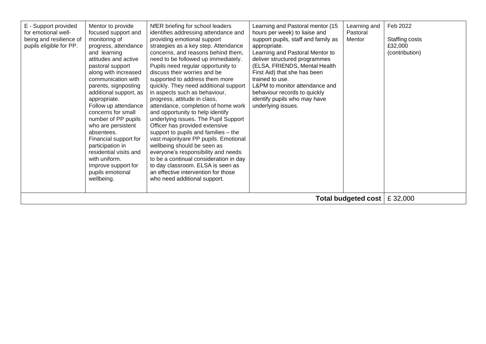| E - Support provided<br>for emotional well-<br>being and resilience of<br>pupils eligible for PP. | Mentor to provide<br>focused support and<br>monitoring of<br>progress, attendance<br>and learning<br>attitudes and active<br>pastoral support<br>along with increased<br>communication with<br>parents, signposting<br>additional support, as<br>appropriate.<br>Follow up attendance<br>concerns for small<br>number of PP pupils<br>who are persistent<br>absentees.<br>Financial support for<br>participation in<br>residential visits and<br>with uniform.<br>Improve support for<br>pupils emotional<br>wellbeing. | NfER briefing for school leaders<br>identifies addressing attendance and<br>providing emotional support<br>strategies as a key step. Attendance<br>concerns, and reasons behind them,<br>need to be followed up immediately.<br>Pupils need regular opportunity to<br>discuss their worries and be<br>supported to address them more<br>quickly. They need additional support<br>in aspects such as behaviour,<br>progress, attitude in class,<br>attendance, completion of home work<br>and opportunity to help identify<br>underlying issues. The Pupil Support<br>Officer has provided extensive<br>support to pupils and families - the<br>vast majorityare PP pupils. Emotional<br>wellbeing should be seen as<br>everyone's responsibility and needs<br>to be a continual consideration in day<br>to day classroom. ELSA is seen as<br>an effective intervention for those<br>who need additional support. | Learning and Pastoral mentor (15<br>hours per week) to liaise and<br>support pupils, staff and family as<br>appropriate.<br>Learning and Pastoral Mentor to<br>deliver structured programmes<br>(ELSA, FRIENDS, Mental Health<br>First Aid) that she has been<br>trained to use.<br>L&PM to monitor attendance and<br>behaviour records to quickly<br>identify pupils who may have<br>underlying issues. | Learning and<br>Pastoral<br>Mentor   | Feb 2022<br>Staffing costs<br>£32,000<br>(contribution) |
|---------------------------------------------------------------------------------------------------|-------------------------------------------------------------------------------------------------------------------------------------------------------------------------------------------------------------------------------------------------------------------------------------------------------------------------------------------------------------------------------------------------------------------------------------------------------------------------------------------------------------------------|------------------------------------------------------------------------------------------------------------------------------------------------------------------------------------------------------------------------------------------------------------------------------------------------------------------------------------------------------------------------------------------------------------------------------------------------------------------------------------------------------------------------------------------------------------------------------------------------------------------------------------------------------------------------------------------------------------------------------------------------------------------------------------------------------------------------------------------------------------------------------------------------------------------|----------------------------------------------------------------------------------------------------------------------------------------------------------------------------------------------------------------------------------------------------------------------------------------------------------------------------------------------------------------------------------------------------------|--------------------------------------|---------------------------------------------------------|
|                                                                                                   |                                                                                                                                                                                                                                                                                                                                                                                                                                                                                                                         |                                                                                                                                                                                                                                                                                                                                                                                                                                                                                                                                                                                                                                                                                                                                                                                                                                                                                                                  |                                                                                                                                                                                                                                                                                                                                                                                                          | Total budgeted cost $\vert$ £ 32,000 |                                                         |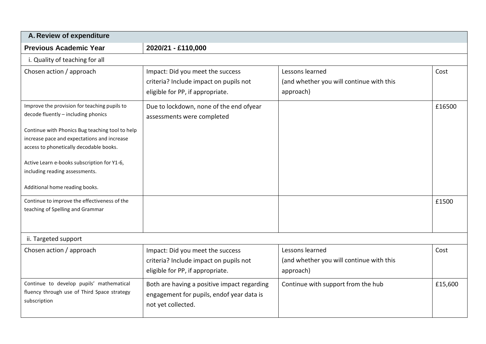| A. Review of expenditure                                                                                                                                                                                                                                                                                                                                                                                                                |                                                                                                                |                                                                          |                 |
|-----------------------------------------------------------------------------------------------------------------------------------------------------------------------------------------------------------------------------------------------------------------------------------------------------------------------------------------------------------------------------------------------------------------------------------------|----------------------------------------------------------------------------------------------------------------|--------------------------------------------------------------------------|-----------------|
| <b>Previous Academic Year</b>                                                                                                                                                                                                                                                                                                                                                                                                           | 2020/21 - £110,000                                                                                             |                                                                          |                 |
| i. Quality of teaching for all                                                                                                                                                                                                                                                                                                                                                                                                          |                                                                                                                |                                                                          |                 |
| Chosen action / approach                                                                                                                                                                                                                                                                                                                                                                                                                | Impact: Did you meet the success<br>criteria? Include impact on pupils not<br>eligible for PP, if appropriate. | Lessons learned<br>(and whether you will continue with this<br>approach) | Cost            |
| Improve the provision for teaching pupils to<br>decode fluently - including phonics<br>Continue with Phonics Bug teaching tool to help<br>increase pace and expectations and increase<br>access to phonetically decodable books.<br>Active Learn e-books subscription for Y1-6,<br>including reading assessments.<br>Additional home reading books.<br>Continue to improve the effectiveness of the<br>teaching of Spelling and Grammar | Due to lockdown, none of the end ofyear<br>assessments were completed                                          |                                                                          | £16500<br>£1500 |
|                                                                                                                                                                                                                                                                                                                                                                                                                                         |                                                                                                                |                                                                          |                 |
| ii. Targeted support                                                                                                                                                                                                                                                                                                                                                                                                                    |                                                                                                                |                                                                          |                 |
| Chosen action / approach                                                                                                                                                                                                                                                                                                                                                                                                                | Impact: Did you meet the success<br>criteria? Include impact on pupils not<br>eligible for PP, if appropriate. | Lessons learned<br>(and whether you will continue with this<br>approach) | Cost            |
| Continue to develop pupils' mathematical<br>fluency through use of Third Space strategy<br>subscription                                                                                                                                                                                                                                                                                                                                 | Both are having a positive impact regarding<br>engagement for pupils, endof year data is<br>not yet collected. | Continue with support from the hub                                       | £15,600         |